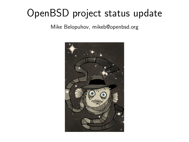# OpenBSD project status update

Mike Belopuhov, mikeb@openbsd.org

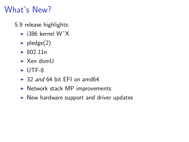# What's New?

5.9 release highlights:

- $\blacktriangleright$  i386 kernel W<sup> $\wedge$ </sup>X
- $\blacktriangleright$  pledge(2)
- $\triangleright$  802.11n
- $\blacktriangleright$  Xen domll
- $\triangleright$  UTF-8
- $\rightarrow$  32 and 64 bit EFI on amd64
- $\triangleright$  Network stack MP improvements
- $\triangleright$  New hardware support and driver updates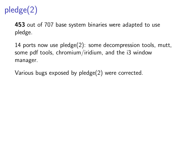

**453** out of 707 base system binaries were adapted to use pledge.

14 ports now use pledge(2): some decompression tools, mutt, some pdf tools, chromium/iridium, and the i3 window manager.

Various bugs exposed by pledge(2) were corrected.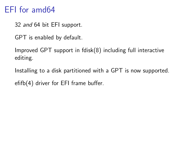#### EFI for amd64

- 32 and 64 bit EFI support.
- GPT is enabled by default.
- Improved GPT support in fdisk(8) including full interactive editing.
- Installing to a disk partitioned with a GPT is now supported. efifb(4) driver for EFI frame buffer.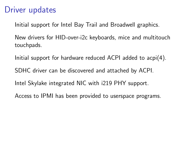## Driver updates

Initial support for Intel Bay Trail and Broadwell graphics.

New drivers for HID-over-i2c keyboards, mice and multitouch touchpads.

Initial support for hardware reduced ACPI added to acpi(4).

SDHC driver can be discovered and attached by ACPI.

Intel Skylake integrated NIC with i219 PHY support.

Access to IPMI has been provided to userspace programs.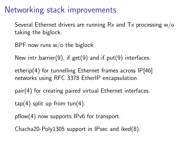#### Networking stack improvements

Several Ethernet drivers are running Rx and Tx processing w/o taking the biglock.

BPF now runs  $w/o$  the biglock.

New intr barrier(9), if get(9) and if  $put(9)$  interfaces.

etherip(4) for tunnelling Ethernet frames across IP[46] networks using RFC 3378 EtherIP encapsulation.

pair(4) for creating paired virtual Ethernet interfaces.

 $tan(4)$  split up from  $tan(4)$ .

pflow(4) now supports IPv6 for transport.

Chacha20-Poly1305 support in IPsec and iked(8).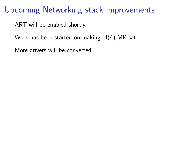#### Upcoming Networking stack improvements

ART will be enabled shortly.

Work has been started on making pf(4) MP-safe.

More drivers will be converted.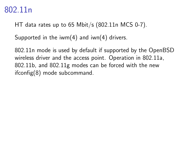#### 802.11n

HT data rates up to 65 Mbit/s (802.11n MCS 0-7).

Supported in the iwm $(4)$  and iwn $(4)$  drivers.

802.11n mode is used by default if supported by the OpenBSD wireless driver and the access point. Operation in 802.11a, 802.11b, and 802.11g modes can be forced with the new ifconfig(8) mode subcommand.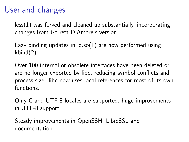## Userland changes

less(1) was forked and cleaned up substantially, incorporating changes from Garrett D'Amore's version.

Lazy binding updates in  $\text{Id}.\text{so}(1)$  are now performed using kbind(2).

Over 100 internal or obsolete interfaces have been deleted or are no longer exported by libc, reducing symbol conflicts and process size. libc now uses local references for most of its own functions.

Only C and UTF-8 locales are supported, huge improvements in UTF-8 support.

Steady improvements in OpenSSH, LibreSSL and documentation.